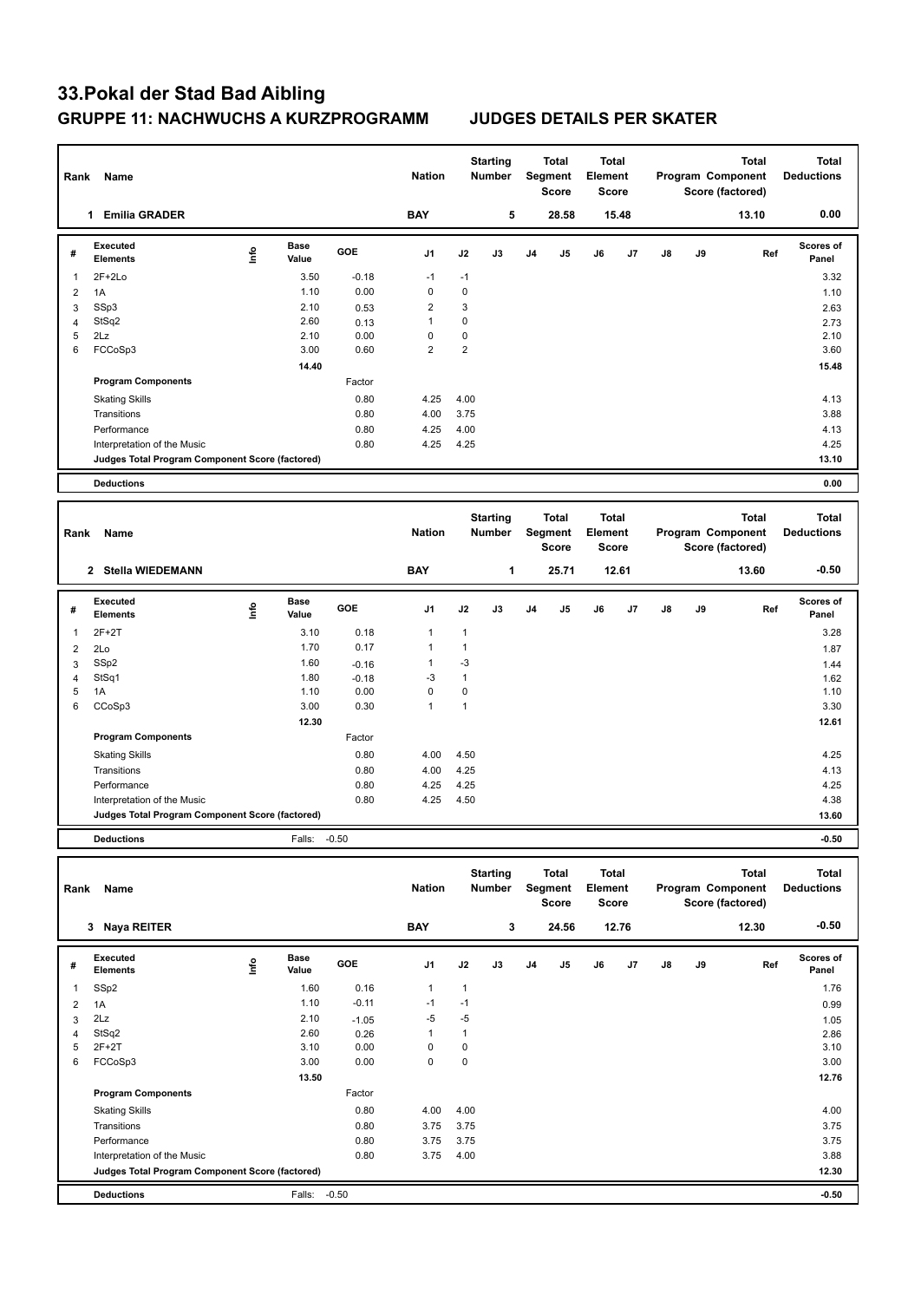## **33.Pokal der Stad Bad Aibling GRUPPE 11: NACHWUCHS A KURZPROGRAMM JUDGES DETAILS PER SKATER**

| Rank                    | Name                                            |      |                      |                    | <b>Nation</b>  |                | <b>Starting</b><br><b>Number</b> |                | <b>Total</b><br>Segment<br><b>Score</b> | <b>Total</b><br>Element | <b>Score</b> |    |    | <b>Total</b><br>Program Component<br>Score (factored) | <b>Total</b><br><b>Deductions</b> |
|-------------------------|-------------------------------------------------|------|----------------------|--------------------|----------------|----------------|----------------------------------|----------------|-----------------------------------------|-------------------------|--------------|----|----|-------------------------------------------------------|-----------------------------------|
|                         | 1 Emilia GRADER                                 |      |                      |                    | <b>BAY</b>     |                | 5                                |                | 28.58                                   |                         | 15.48        |    |    | 13.10                                                 | 0.00                              |
| #                       | Executed<br><b>Elements</b>                     | lnfo | <b>Base</b><br>Value | GOE                | J1             | J2             | J3                               | J <sub>4</sub> | J5                                      | J6                      | J7           | J8 | J9 | Ref                                                   | Scores of<br>Panel                |
| $\mathbf{1}$            | $2F+2Lo$                                        |      | 3.50                 | $-0.18$            | $-1$           | $-1$           |                                  |                |                                         |                         |              |    |    |                                                       | 3.32                              |
| $\overline{\mathbf{c}}$ | 1A                                              |      | 1.10                 | 0.00               | $\mathbf 0$    | $\mathbf 0$    |                                  |                |                                         |                         |              |    |    |                                                       | 1.10                              |
| 3                       | SSp3                                            |      | 2.10                 | 0.53               | $\overline{2}$ | 3              |                                  |                |                                         |                         |              |    |    |                                                       | 2.63                              |
| 4                       | StSq2                                           |      | 2.60                 | 0.13               | $\mathbf{1}$   | 0              |                                  |                |                                         |                         |              |    |    |                                                       | 2.73                              |
| 5                       | 2Lz                                             |      | 2.10                 | 0.00               | $\mathbf 0$    | $\pmb{0}$      |                                  |                |                                         |                         |              |    |    |                                                       | 2.10                              |
| 6                       | FCCoSp3                                         |      | 3.00                 | 0.60               | $\overline{2}$ | $\overline{2}$ |                                  |                |                                         |                         |              |    |    |                                                       | 3.60                              |
|                         |                                                 |      | 14.40                |                    |                |                |                                  |                |                                         |                         |              |    |    |                                                       | 15.48                             |
|                         | <b>Program Components</b>                       |      |                      | Factor             |                |                |                                  |                |                                         |                         |              |    |    |                                                       |                                   |
|                         | <b>Skating Skills</b>                           |      |                      | 0.80               | 4.25           | 4.00           |                                  |                |                                         |                         |              |    |    |                                                       | 4.13                              |
|                         | Transitions                                     |      |                      | 0.80               | 4.00           | 3.75           |                                  |                |                                         |                         |              |    |    |                                                       | 3.88                              |
|                         | Performance                                     |      |                      | 0.80               | 4.25           | 4.00           |                                  |                |                                         |                         |              |    |    |                                                       | 4.13                              |
|                         | Interpretation of the Music                     |      |                      | 0.80               | 4.25           | 4.25           |                                  |                |                                         |                         |              |    |    |                                                       | 4.25                              |
|                         | Judges Total Program Component Score (factored) |      |                      |                    |                |                |                                  |                |                                         |                         |              |    |    |                                                       | 13.10                             |
|                         |                                                 |      |                      |                    |                |                |                                  |                |                                         |                         |              |    |    |                                                       |                                   |
|                         |                                                 |      |                      |                    |                |                |                                  |                |                                         |                         |              |    |    |                                                       |                                   |
|                         | <b>Deductions</b>                               |      |                      |                    |                |                |                                  |                |                                         |                         |              |    |    |                                                       | 0.00                              |
| Rank                    | Name                                            |      |                      |                    | <b>Nation</b>  |                | <b>Starting</b><br><b>Number</b> |                | <b>Total</b><br>Segment<br><b>Score</b> | <b>Total</b><br>Element | <b>Score</b> |    |    | <b>Total</b><br>Program Component<br>Score (factored) | <b>Total</b><br><b>Deductions</b> |
|                         | 2 Stella WIEDEMANN                              |      |                      |                    | <b>BAY</b>     |                | 1                                |                | 25.71                                   |                         | 12.61        |    |    | 13.60                                                 | $-0.50$                           |
| #                       | <b>Executed</b><br>Elements                     | lnfo | <b>Base</b><br>Value | GOE                | J1             | J2             | J3                               | J <sub>4</sub> | J5                                      | J6                      | J7           | J8 | J9 | Ref                                                   | Scores of<br>Panel                |
| $\mathbf{1}$            | $2F+2T$                                         |      | 3.10                 | 0.18               | $\mathbf{1}$   | 1              |                                  |                |                                         |                         |              |    |    |                                                       | 3.28                              |
| 2                       | 2Lo                                             |      | 1.70                 | 0.17               | $\mathbf{1}$   | $\mathbf{1}$   |                                  |                |                                         |                         |              |    |    |                                                       | 1.87                              |
|                         | SSp2                                            |      | 1.60                 |                    | $\mathbf{1}$   | -3             |                                  |                |                                         |                         |              |    |    |                                                       |                                   |
| 3<br>4                  |                                                 |      | 1.80                 | $-0.16$<br>$-0.18$ | $-3$           | $\mathbf{1}$   |                                  |                |                                         |                         |              |    |    |                                                       | 1.44<br>1.62                      |
| 5                       | StSq1<br>1A                                     |      | 1.10                 | 0.00               | $\mathbf 0$    | $\pmb{0}$      |                                  |                |                                         |                         |              |    |    |                                                       | 1.10                              |
| 6                       | CCoSp3                                          |      | 3.00                 | 0.30               | $\mathbf{1}$   | $\mathbf{1}$   |                                  |                |                                         |                         |              |    |    |                                                       | 3.30                              |
|                         |                                                 |      | 12.30                |                    |                |                |                                  |                |                                         |                         |              |    |    |                                                       | 12.61                             |
|                         | <b>Program Components</b>                       |      |                      | Factor             |                |                |                                  |                |                                         |                         |              |    |    |                                                       |                                   |
|                         |                                                 |      |                      |                    |                |                |                                  |                |                                         |                         |              |    |    |                                                       |                                   |
|                         | <b>Skating Skills</b><br>Transitions            |      |                      | 0.80<br>0.80       | 4.00<br>4.00   | 4.50<br>4.25   |                                  |                |                                         |                         |              |    |    |                                                       | 4.25<br>4.13                      |

Interpretation of the Music 0.80 4.25 4.50 4.38 **Judges Total Program Component Score (factored) 13.60**

**Deductions** Falls: -0.50 **-0.50**

| Rank | Name                                            |      |                      |            | <b>Nation</b>  |                | <b>Starting</b><br><b>Number</b> |                | <b>Total</b><br>Segment<br><b>Score</b> | <b>Total</b><br>Element<br><b>Score</b> |       |    |    | Total<br>Program Component<br>Score (factored) | <b>Total</b><br><b>Deductions</b> |
|------|-------------------------------------------------|------|----------------------|------------|----------------|----------------|----------------------------------|----------------|-----------------------------------------|-----------------------------------------|-------|----|----|------------------------------------------------|-----------------------------------|
|      | 3<br>Naya REITER                                |      |                      |            | <b>BAY</b>     |                | 3                                |                | 24.56                                   |                                         | 12.76 |    |    | 12.30                                          | $-0.50$                           |
| #    | Executed<br><b>Elements</b>                     | lnfo | <b>Base</b><br>Value | <b>GOE</b> | J <sub>1</sub> | J2             | J3                               | J <sub>4</sub> | J5                                      | J6                                      | J7    | J8 | J9 | Ref                                            | <b>Scores of</b><br>Panel         |
| 1    | SSp2                                            |      | 1.60                 | 0.16       | $\mathbf{1}$   | $\overline{1}$ |                                  |                |                                         |                                         |       |    |    |                                                | 1.76                              |
| 2    | 1A                                              |      | 1.10                 | $-0.11$    | $-1$           | $-1$           |                                  |                |                                         |                                         |       |    |    |                                                | 0.99                              |
| 3    | 2Lz                                             |      | 2.10                 | $-1.05$    | $-5$           | $-5$           |                                  |                |                                         |                                         |       |    |    |                                                | 1.05                              |
| 4    | StSq2                                           |      | 2.60                 | 0.26       | $\mathbf{1}$   |                |                                  |                |                                         |                                         |       |    |    |                                                | 2.86                              |
| 5    | $2F+2T$                                         |      | 3.10                 | 0.00       | 0              | 0              |                                  |                |                                         |                                         |       |    |    |                                                | 3.10                              |
| 6    | FCCoSp3                                         |      | 3.00                 | 0.00       | $\pmb{0}$      | 0              |                                  |                |                                         |                                         |       |    |    |                                                | 3.00                              |
|      |                                                 |      | 13.50                |            |                |                |                                  |                |                                         |                                         |       |    |    |                                                | 12.76                             |
|      | <b>Program Components</b>                       |      |                      | Factor     |                |                |                                  |                |                                         |                                         |       |    |    |                                                |                                   |
|      | <b>Skating Skills</b>                           |      |                      | 0.80       | 4.00           | 4.00           |                                  |                |                                         |                                         |       |    |    |                                                | 4.00                              |
|      | Transitions                                     |      |                      | 0.80       | 3.75           | 3.75           |                                  |                |                                         |                                         |       |    |    |                                                | 3.75                              |
|      | Performance                                     |      |                      | 0.80       | 3.75           | 3.75           |                                  |                |                                         |                                         |       |    |    |                                                | 3.75                              |
|      | Interpretation of the Music                     |      |                      | 0.80       | 3.75           | 4.00           |                                  |                |                                         |                                         |       |    |    |                                                | 3.88                              |
|      | Judges Total Program Component Score (factored) |      |                      |            |                |                |                                  |                |                                         |                                         |       |    |    |                                                | 12.30                             |
|      | <b>Deductions</b>                               |      | Falls:               | $-0.50$    |                |                |                                  |                |                                         |                                         |       |    |    |                                                | $-0.50$                           |